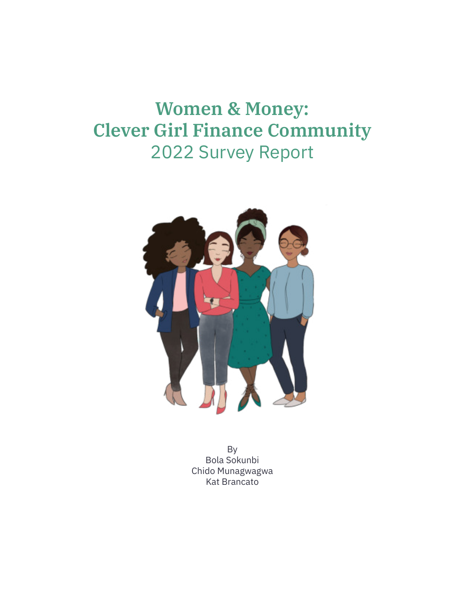# **Women & Money: Clever Girl Finance Community** 2022 Survey Report



By Bola Sokunbi Chido Munagwagwa Kat Brancato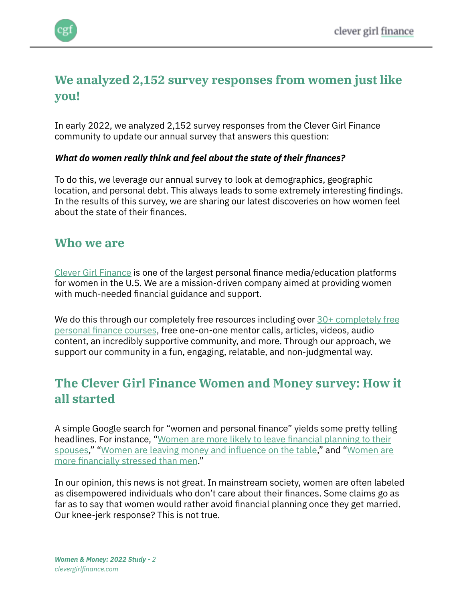

# **We analyzed 2,152 survey responses from women just like you!**

In early 2022, we analyzed 2,152 survey responses from the Clever Girl Finance community to update our annual survey that answers this question:

#### *What do women really think and feel about the state of their finances?*

To do this, we leverage our annual survey to look at demographics, geographic location, and personal debt. This always leads to some extremely interesting findings. In the results of this survey, we are sharing our latest discoveries on how women feel about the state of their finances.

### **Who we are**

[Clever Girl Finance](https://clevergirlfinance.com/) is one of the largest personal finance media/education platforms for women in the U.S. We are a mission-driven company aimed at providing women with much-needed financial guidance and support.

We do this through our completely free resources including over [30+ completely free](https://clevergirlfinance.com/course-packages) [personal finance courses](https://clevergirlfinance.com/course-packages), free one-on-one mentor calls, articles, videos, audio content, an incredibly supportive community, and more. Through our approach, we support our community in a fun, engaging, relatable, and non-judgmental way.

# **The Clever Girl Finance Women and Money survey: How it all started**

A simple Google search for "women and personal finance" yields some pretty telling headlines. For instance, "[Women are more likely to leave financial planning to their](https://www.cnbc.com/2019/03/18/women-are-more-likely-to-leave-money-decisions-to-their-spouses.html) [spouses,](https://www.cnbc.com/2019/03/18/women-are-more-likely-to-leave-money-decisions-to-their-spouses.html)" ["Women are leaving money and influence on the table,](https://www.usbank.com/newsroom/stories/survey-says-women-are-leaving-money-and-influence-on-the-table.html)" and ["Women are](https://www.nbcnews.com/know-your-value/feature/women-are-more-financially-stressed-men-here-s-how-overcome-ncna1055901) [more financially stressed than men](https://www.nbcnews.com/know-your-value/feature/women-are-more-financially-stressed-men-here-s-how-overcome-ncna1055901)."

In our opinion, this news is not great. In mainstream society, women are often labeled as disempowered individuals who don't care about their finances. Some claims go as far as to say that women would rather avoid financial planning once they get married. Our knee-jerk response? This is not true.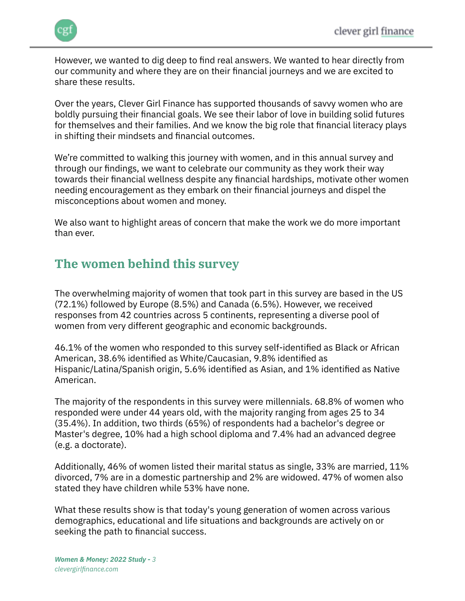

However, we wanted to dig deep to find real answers. We wanted to hear directly from our community and where they are on their financial journeys and we are excited to share these results.

Over the years, Clever Girl Finance has supported thousands of savvy women who are boldly pursuing their financial goals. We see their labor of love in building solid futures for themselves and their families. And we know the big role that financial literacy plays in shifting their mindsets and financial outcomes.

We're committed to walking this journey with women, and in this annual survey and through our findings, we want to celebrate our community as they work their way towards their financial wellness despite any financial hardships, motivate other women needing encouragement as they embark on their financial journeys and dispel the misconceptions about women and money.

We also want to highlight areas of concern that make the work we do more important than ever.

# **The women behind this survey**

The overwhelming majority of women that took part in this survey are based in the US (72.1%) followed by Europe (8.5%) and Canada (6.5%). However, we received responses from 42 countries across 5 continents, representing a diverse pool of women from very different geographic and economic backgrounds.

46.1% of the women who responded to this survey self-identified as Black or African American, 38.6% identified as White/Caucasian, 9.8% identified as Hispanic/Latina/Spanish origin, 5.6% identified as Asian, and 1% identified as Native American.

The majority of the respondents in this survey were millennials. 68.8% of women who responded were under 44 years old, with the majority ranging from ages 25 to 34 (35.4%). In addition, two thirds (65%) of respondents had a bachelor's degree or Master's degree, 10% had a high school diploma and 7.4% had an advanced degree (e.g. a doctorate).

Additionally, 46% of women listed their marital status as single, 33% are married, 11% divorced, 7% are in a domestic partnership and 2% are widowed. 47% of women also stated they have children while 53% have none.

What these results show is that today's young generation of women across various demographics, educational and life situations and backgrounds are actively on or seeking the path to financial success.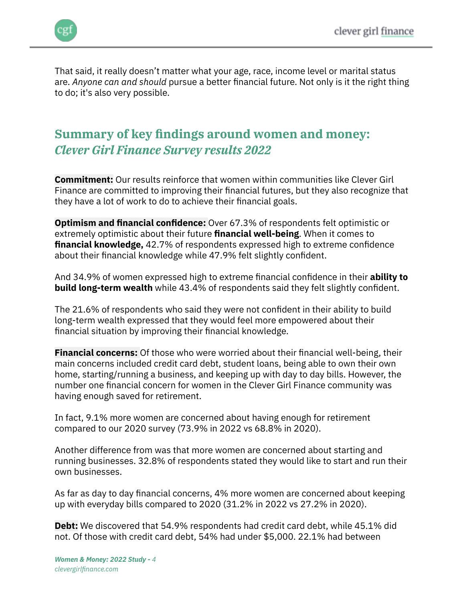

That said, it really doesn't matter what your age, race, income level or marital status are. *Anyone can and should* pursue a better financial future. Not only is it the right thing to do; it's also very possible.

# **Summary of key findings around women and money:** *Clever Girl Finance Survey results 2022*

**Commitment:** Our results reinforce that women within communities like Clever Girl Finance are committed to improving their financial futures, but they also recognize that they have a lot of work to do to achieve their financial goals.

**Optimism and financial confidence:** Over 67.3% of respondents felt optimistic or extremely optimistic about their future **financial well-being**. When it comes to **financial knowledge,** 42.7% of respondents expressed high to extreme confidence about their financial knowledge while 47.9% felt slightly confident.

And 34.9% of women expressed high to extreme financial confidence in their **ability to build long-term wealth** while 43.4% of respondents said they felt slightly confident.

The 21.6% of respondents who said they were not confident in their ability to build long-term wealth expressed that they would feel more empowered about their financial situation by improving their financial knowledge.

**Financial concerns:** Of those who were worried about their financial well-being, their main concerns included credit card debt, student loans, being able to own their own home, starting/running a business, and keeping up with day to day bills. However, the number one financial concern for women in the Clever Girl Finance community was having enough saved for retirement.

In fact, 9.1% more women are concerned about having enough for retirement compared to our 2020 survey (73.9% in 2022 vs 68.8% in 2020).

Another difference from was that more women are concerned about starting and running businesses. 32.8% of respondents stated they would like to start and run their own businesses.

As far as day to day financial concerns, 4% more women are concerned about keeping up with everyday bills compared to 2020 (31.2% in 2022 vs 27.2% in 2020).

**Debt:** We discovered that 54.9% respondents had credit card debt, while 45.1% did not. Of those with credit card debt, 54% had under \$5,000. 22.1% had between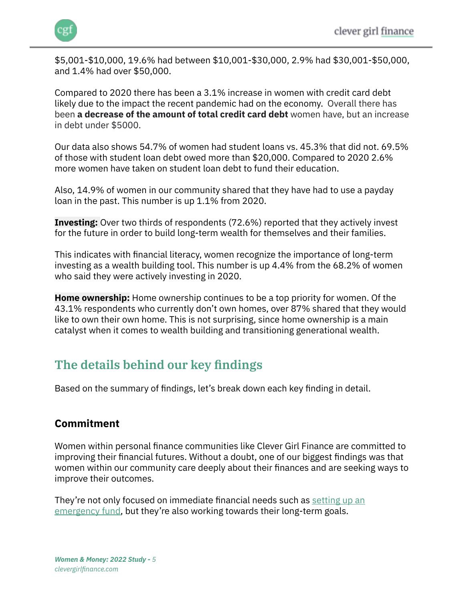

\$5,001-\$10,000, 19.6% had between \$10,001-\$30,000, 2.9% had \$30,001-\$50,000, and 1.4% had over \$50,000.

Compared to 2020 there has been a 3.1% increase in women with credit card debt likely due to the impact the recent pandemic had on the economy. Overall there has been **a decrease of the amount of total credit card debt** women have, but an increase in debt under \$5000.

Our data also shows 54.7% of women had student loans vs. 45.3% that did not. 69.5% of those with student loan debt owed more than \$20,000. Compared to 2020 2.6% more women have taken on student loan debt to fund their education.

Also, 14.9% of women in our community shared that they have had to use a payday loan in the past. This number is up 1.1% from 2020.

**Investing:** Over two thirds of respondents (72.6%) reported that they actively invest for the future in order to build long-term wealth for themselves and their families.

This indicates with financial literacy, women recognize the importance of long-term investing as a wealth building tool. This number is up 4.4% from the 68.2% of women who said they were actively investing in 2020.

**Home ownership:** Home ownership continues to be a top priority for women. Of the 43.1% respondents who currently don't own homes, over 87% shared that they would like to own their own home. This is not surprising, since home ownership is a main catalyst when it comes to wealth building and transitioning generational wealth.

# **The details behind our key findings**

Based on the summary of findings, let's break down each key finding in detail.

#### **Commitment**

Women within personal finance communities like Clever Girl Finance are committed to improving their financial futures. Without a doubt, one of our biggest findings was that women within our community care deeply about their finances and are seeking ways to improve their outcomes.

They're not only focused on immediate financial needs such as [setting up an](https://www.clevergirlfinance.com/blog/why-you-need-an-emergency-fund/) [emergency fund,](https://www.clevergirlfinance.com/blog/why-you-need-an-emergency-fund/) but they're also working towards their long-term goals.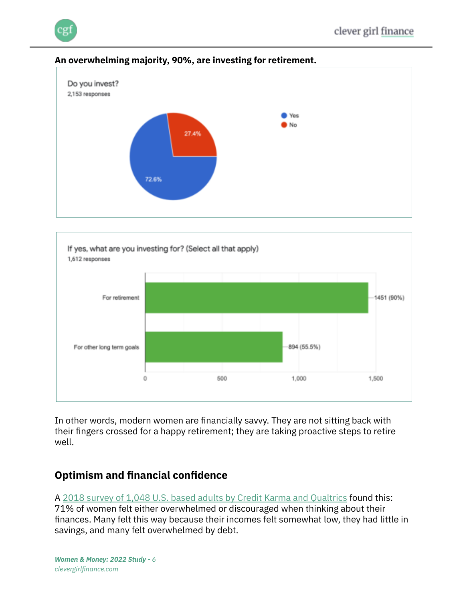

#### **An overwhelming majority, 90%, are investing for retirement.**



In other words, modern women are financially savvy. They are not sitting back with their fingers crossed for a happy retirement; they are taking proactive steps to retire well.

## **Optimism and financial confidence**

A [2018 survey of 1,048 U.S. based adults by Credit Karma and Qualtrics](https://www.creditkarma.com/insights/i/one-in-three-women-discouraged-finances-survey) found this: 71% of women felt either overwhelmed or discouraged when thinking about their finances. Many felt this way because their incomes felt somewhat low, they had little in savings, and many felt overwhelmed by debt.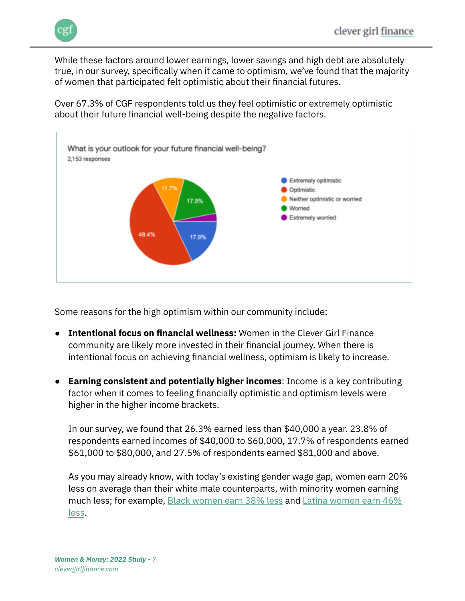While these factors around lower earnings, lower savings and high debt are absolutely true, in our survey, specifically when it came to optimism, we've found that the majority of women that participated felt optimistic about their financial futures.

Over 67.3% of CGF respondents told us they feel optimistic or extremely optimistic about their future financial well-being despite the negative factors.



Some reasons for the high optimism within our community include:

- **Intentional focus on financial wellness:** Women in the Clever Girl Finance community are likely more invested in their financial journey. When there is intentional focus on achieving financial wellness, optimism is likely to increase.
- **Earning consistent and potentially higher incomes**: Income is a key contributing factor when it comes to feeling financially optimistic and optimism levels were higher in the higher income brackets.

In our survey, we found that 26.3% earned less than \$40,000 a year. 23.8% of respondents earned incomes of \$40,000 to \$60,000, 17.7% of respondents earned \$61,000 to \$80,000, and 27.5% of respondents earned \$81,000 and above.

As you may already know, with today's existing gender wage gap, women earn 20% less on average than their white male counterparts, with minority women earning much less; for example, [Black women earn 38% less](https://www.nationalpartnership.org/our-work/resources/economic-justice/fair-pay/african-american-women-wage-gap.pdf) and [Latina women earn 46%](https://civilrights.org/edfund/resource/wage-gap-latina-workers-still-54-cents-thats-troubling/) [less](https://civilrights.org/edfund/resource/wage-gap-latina-workers-still-54-cents-thats-troubling/).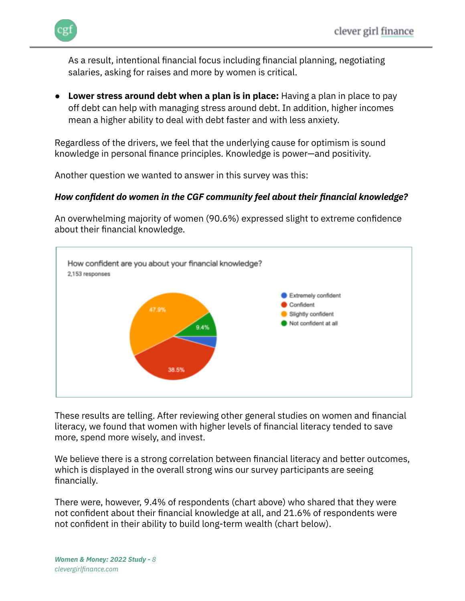

As a result, intentional financial focus including financial planning, negotiating salaries, asking for raises and more by women is critical.

● **Lower stress around debt when a plan is in place:** Having a plan in place to pay off debt can help with managing stress around debt. In addition, higher incomes mean a higher ability to deal with debt faster and with less anxiety.

Regardless of the drivers, we feel that the underlying cause for optimism is sound knowledge in personal finance principles. Knowledge is power—and positivity.

Another question we wanted to answer in this survey was this:

#### *How confident do women in the CGF community feel about their financial knowledge?*

An overwhelming majority of women (90.6%) expressed slight to extreme confidence about their financial knowledge.



These results are telling. After reviewing other general studies on women and financial literacy, we found that women with higher levels of financial literacy tended to save more, spend more wisely, and invest.

We believe there is a strong correlation between financial literacy and better outcomes, which is displayed in the overall strong wins our survey participants are seeing financially.

There were, however, 9.4% of respondents (chart above) who shared that they were not confident about their financial knowledge at all, and 21.6% of respondents were not confident in their ability to build long-term wealth (chart below).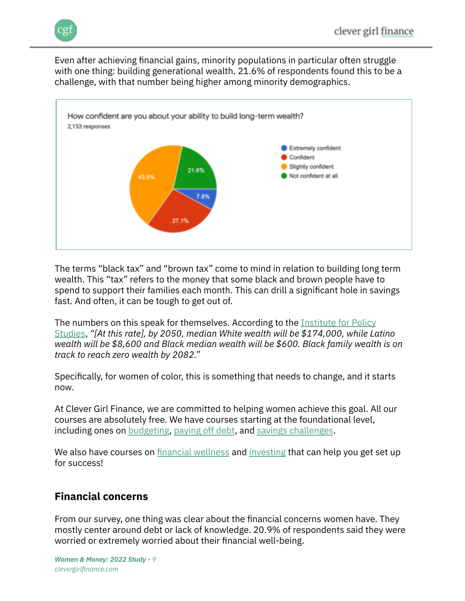Even after achieving financial gains, minority populations in particular often struggle with one thing: building generational wealth. 21.6% of respondents found this to be a challenge, with that number being higher among minority demographics.



The terms "black tax" and "brown tax" come to mind in relation to building long term wealth. This "tax" refers to the money that some black and brown people have to spend to support their families each month. This can drill a significant hole in savings fast. And often, it can be tough to get out of.

The numbers on this speak for themselves. According to the [Institute for Policy](https://ips-dc.org/racial-wealth-divide-2019/) [Studies](https://ips-dc.org/racial-wealth-divide-2019/), *"[At this rate], by 2050, median White wealth will be \$174,000, while Latino wealth will be \$8,600 and Black median wealth will be \$600. Black family wealth is on track to reach zero wealth by 2082."*

Specifically, for women of color, this is something that needs to change, and it starts now.

At Clever Girl Finance, we are committed to helping women achieve this goal. All our courses are absolutely free. We have courses starting at the foundational level, including ones on [budgeting,](https://courses.clevergirlfinance.com/p/create-a-budget-that-works/) [paying off debt](https://courses.clevergirlfinance.com/p/create-your-debt-repayment-strategy/), and [savings challenges](https://courses.clevergirlfinance.com/p/savings-challenge-bundle/).

We also have courses on [financial wellness](https://www.clevergirlfinance.com/course-packages/#cgf-wellnesscourses) and [investing](https://www.clevergirlfinance.com/course-packages/#cgf-investingcourses) that can help you get set up for success!

## **Financial concerns**

From our survey, one thing was clear about the financial concerns women have. They mostly center around debt or lack of knowledge. 20.9% of respondents said they were worried or extremely worried about their financial well-being.

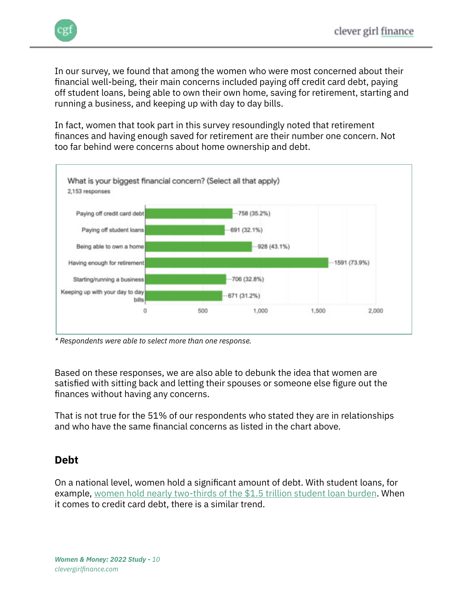

In our survey, we found that among the women who were most concerned about their financial well-being, their main concerns included paying off credit card debt, paying off student loans, being able to own their own home, saving for retirement, starting and running a business, and keeping up with day to day bills.

In fact, women that took part in this survey resoundingly noted that retirement finances and having enough saved for retirement are their number one concern. Not too far behind were concerns about home ownership and debt.



*\* Respondents were able to select more than one response.*

Based on these responses, we are also able to debunk the idea that women are satisfied with sitting back and letting their spouses or someone else figure out the finances without having any concerns.

That is not true for the 51% of our respondents who stated they are in relationships and who have the same financial concerns as listed in the chart above.

## **Debt**

On a national level, women hold a significant amount of debt. With student loans, for example, [women hold nearly two-thirds of the \\$1.5 trillion student loan burden](https://www.aauw.org/issues/education/student-debt/). When it comes to credit card debt, there is a similar trend.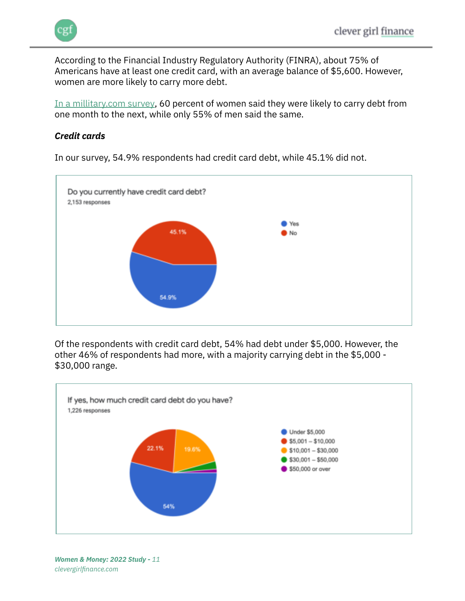According to the Financial Industry Regulatory Authority (FINRA), about 75% of Americans have at least one credit card, with an average balance of \$5,600. However, women are more likely to carry more debt.

[In a millitary.com survey,](https://www.military.com/money/personal-finance/credit-debt-management/credit-card-debt-and-the-gender-divide.html#:~:text=Though%20more%20than%2075%20percent,to%20new%20data%20from%20FINRA.) 60 percent of women said they were likely to carry debt from one month to the next, while only 55% of men said the same.

#### *Credit cards*



In our survey, 54.9% respondents had credit card debt, while 45.1% did not.

Of the respondents with credit card debt, 54% had debt under \$5,000. However, the other 46% of respondents had more, with a majority carrying debt in the \$5,000 - \$30,000 range.

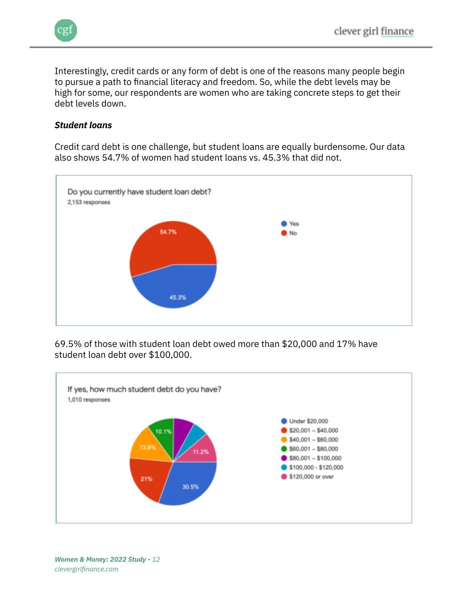

Interestingly, credit cards or any form of debt is one of the reasons many people begin to pursue a path to financial literacy and freedom. So, while the debt levels may be high for some, our respondents are women who are taking concrete steps to get their debt levels down.

#### *Student loans*

Credit card debt is one challenge, but student loans are equally burdensome. Our data also shows 54.7% of women had student loans vs. 45.3% that did not.



69.5% of those with student loan debt owed more than \$20,000 and 17% have student loan debt over \$100,000.

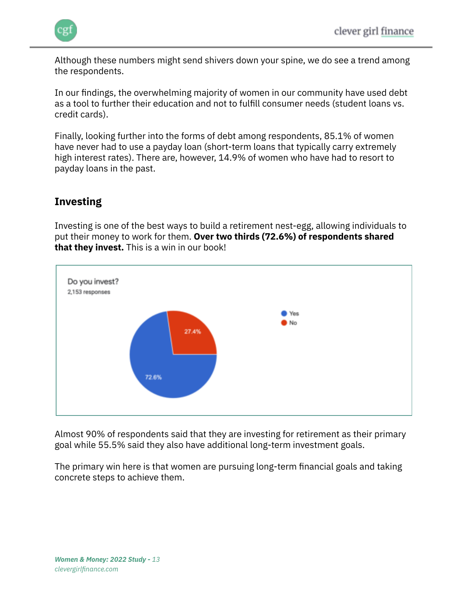

Although these numbers might send shivers down your spine, we do see a trend among the respondents.

In our findings, the overwhelming majority of women in our community have used debt as a tool to further their education and not to fulfill consumer needs (student loans vs. credit cards).

Finally, looking further into the forms of debt among respondents, 85.1% of women have never had to use a payday loan (short-term loans that typically carry extremely high interest rates). There are, however, 14.9% of women who have had to resort to payday loans in the past.

## **Investing**

Investing is one of the best ways to build a retirement nest-egg, allowing individuals to put their money to work for them. **Over two thirds (72.6%) of respondents shared that they invest.** This is a win in our book!



Almost 90% of respondents said that they are investing for retirement as their primary goal while 55.5% said they also have additional long-term investment goals.

The primary win here is that women are pursuing long-term financial goals and taking concrete steps to achieve them.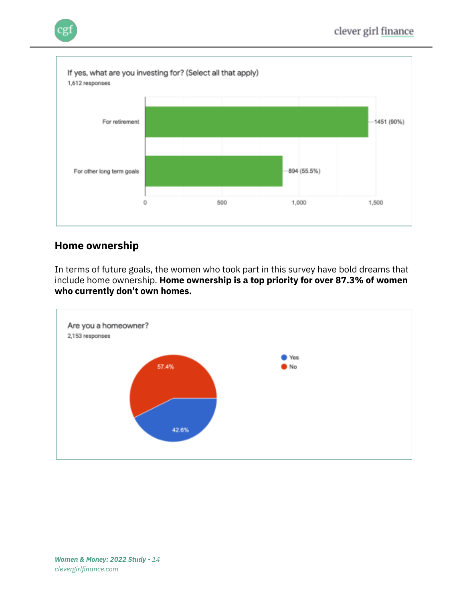

#### **Home ownership**

In terms of future goals, the women who took part in this survey have bold dreams that include home ownership. **Home ownership is a top priority for over 87.3% of women who currently don't own homes.**